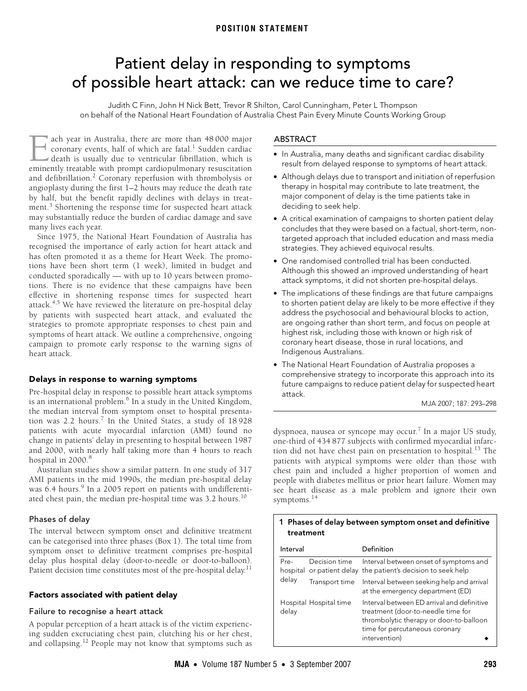# <span id="page-0-0"></span>Patient delay in responding to symptoms of possible heart attack: can we reduce time to care?

Judith C Finn, John H Nick Bett, Trevor R Shilton, Carol Cunningham, Peter L Thompson on behalf of the National Heart Foundation of Australia Chest Pain Every Minute Counts Working Group

by half, but the benefit rapidly declines with delays in treat-ment.<sup>[3](#page-4-2)</sup> Shortening the response t[ime](#page-0-0) [for](#page-5-0) suspected heart attack may substantially reduce the burden of cardiac damage and save many lives each year. ach year in Australia, there are more than 48 000 major coronary events, half of which are fatal.<sup>1</sup> Sudden cardiac death is usually due to ventricular fibrillation, which is eminently treatable with prompt cardiopulmonary resuscitation and the eminently treatable with prompt cardiopulmonary resuscitation and defibrillation.<sup>[2](#page-4-1)</sup> Coronary reperfusion with thrombolysis or angioplasty during the first 1–2 hours may reduce the death rate

Since 1975, the National Heart Foundation of Australia has recognised the importance of early action for heart attack and has often promoted it as a theme for Heart Week. The promotions have been short term (1 week), limited in budget and conducted sporadically — with up to 10 years between promotions. There is no evidence that these campaigns have been effective in shortening response times for suspected heart attack.[4,](#page-4-3)[5](#page-4-4) We have reviewed the literature on pre-hospital delay by patients with suspected heart attack, and evaluated the strategies to promote appropriate responses to chest pain and symptoms of heart attack. We outline a comprehensive, ongoing campaign to promote early response to the warning signs of heart attack.

## Delays in response to warning symptoms

Pre-hospital delay in response to possible heart attack symptoms is an international problem.<sup>[6](#page-4-5)</sup> In a study in the United Kingdom, the median interval from symptom onset to hospital presenta-tion was 2.2 hours.<sup>[7](#page-4-6)</sup> In the United States, a study of 18928 patients with acute myocardial infarction (AMI) found no change in patients' delay in presenting to hospital between 1987 and 2000, with nearly half taking more than 4 hours to reach hospital in 2000.<sup>[8](#page-4-7)</sup>

Australian studies show a similar pattern. In one study of 317 AMI patients in the mid 1990s, the median pre-hospital delay was 6.4 hours.<sup>[9](#page-4-8)</sup> In a 2005 report on patients with undifferentiated chest pain, the median pre-hospital time was  $3.2$  hours.<sup>[10](#page-4-9)</sup>

## Phases of delay

The interval between symptom onset and definitive treatment can be categorised into three phases ([Box 1\)](#page-0-1). The total time from symptom onset to definitive treatment comprises pre-hospital delay plus hospital delay (door-to-needle or door-to-balloon). Patient decision time constitutes most of the pre-hospital delay.<sup>[11](#page-4-10)</sup>

## Factors associated with patient delay

## Failure to recognise a heart attack

A popular perception of a heart attack is of the victim experiencing sudden excruciating chest pain, clutching his or her chest, and collapsing.[12](#page-4-11) People may not know that symptoms such as

# ABSTRACT

- In Australia, many deaths and significant cardiac disability result from delayed response to symptoms of heart attack.
- Although delays due to transport and initiation of reperfusion therapy in hospital may contribute to late treatment, the major component of delay is the time patients take in deciding to seek help.
- A critical examination of campaigns to shorten patient delay concludes that they were based on a factual, short-term, nontargeted approach that included education and mass media strategies. They achieved equivocal results.
- One randomised controlled trial has been conducted. Although this showed an improved understanding of heart attack symptoms, it did not shorten pre-hospital delays.
- The implications of these findings are that future campaigns to shorten patient delay are likely to be more effective if they address the psychosocial and behavioural blocks to action, are ongoing rather than short term, and focus on people at highest risk, including those with known or high risk of coronary heart disease, those in rural locations, and Indigenous Australians.
- The National Heart Foundation of Australia proposes a comprehensive strategy to incorporate this approach into its future campaigns to reduce patient delay for suspected heart attack.

MJA 2007; 187: 293–298

dyspnoea, nausea or syncope may occur.<sup>[7](#page-4-6)</sup> In a major US study, one-third of 434 877 subjects with confirmed myocardial infarction did not have chest pain on presentation to hospital.<sup>13</sup> The patients with atypical symptoms were older than those with chest pain and included a higher proportion of women and people with diabetes mellitus or prior heart failure. Women may see heart disease as a male problem and ignore their own symptoms.<sup>[14](#page-4-13)</sup>

| .             |                        |                                                                                                                                                                                |  |
|---------------|------------------------|--------------------------------------------------------------------------------------------------------------------------------------------------------------------------------|--|
| Interval      |                        | Definition                                                                                                                                                                     |  |
| Pre-<br>delay | Decision time          | Interval between onset of symptoms and<br>hospital or patient delay the patient's decision to seek help                                                                        |  |
|               | Transport time         | Interval between seeking help and arrival<br>at the emergency department (ED)                                                                                                  |  |
| delay         | Hospital Hospital time | Interval between ED arrival and definitive<br>treatment (door-to-needle time for<br>thrombolytic therapy or door-to-balloon<br>time for percutaneous coronary<br>intervention) |  |

## <span id="page-0-1"></span>1 Phases of delay between symptom onset and definitive treatment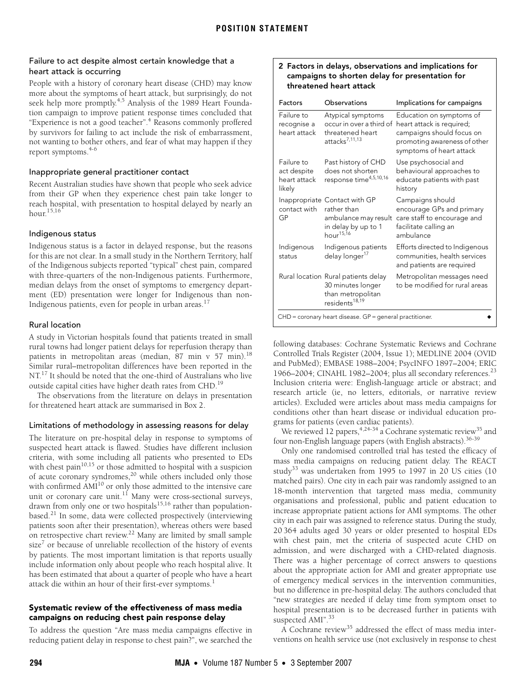# Failure to act despite almost certain knowledge that a heart attack is occurring

People with a history of coronary heart disease (CHD) may know more about the symptoms of heart attack, but surprisingly, do not seek help more promptly.<sup>4,5</sup> Analysis of the 1989 Heart Foundation campaign to improve patient response times concluded that "Experience is not a good teacher".<sup>4</sup> Reasons commonly proffered by survivors for failing to act include the risk of embarrassment, not wanting to bother others, and fear of what may happen if they report symptoms.<sup>4-[6](#page-4-5)</sup>

## Inappropriate general practitioner contact

Recent Australian studies have shown that people who seek advice from their GP when they experience chest pain take longer to reach hospital, with presentation to hospital delayed by nearly an hour. $15,16$  $15,16$ 

# Indigenous status

Indigenous status is a factor in delayed response, but the reasons for this are not clear. In a small study in the Northern Territory, half of the Indigenous subjects reported "typical" chest pain, compared with three-quarters of the non-Indigenous patients. Furthermore, median delays from the onset of symptoms to emergency department (ED) presentation were longer for Indigenous than non-Indigenous patients, even for people in urban areas. $17$ 

# Rural location

A study in Victorian hospitals found that patients treated in small rural towns had longer patient delays for reperfusion therapy than patients in metropolitan areas (median, 87 min v 57 min).<sup>[18](#page-4-17)</sup> Similar rural–metropolitan differences have been reported in the NT.<sup>17</sup> It should be noted that the one-third of Australians who live outside capital cities have higher death rates from CHD.[19](#page-4-18)

The observations from the literature on delays in presentation for threatened heart attack are summarised in [Box 2.](#page-1-0)

## Limitations of methodology in assessing reasons for delay

The literature on pre-hospital delay in response to symptoms of suspected heart attack is flawed. Studies have different inclusion criteria, with some including all patients who presented to EDs with chest pain $10,15$  $10,15$  or those admitted to hospital with a suspicion of acute coronary syndromes,<sup>[20](#page-4-19)</sup> while others included only those with confirmed  $AMI^{10}$  or only those admitted to the intensive care unit or coronary care unit.<sup>11</sup> Many were cross-sectional surveys, drawn from only one or two hospitals<sup>[15](#page-4-14),16</sup> rather than populationbased.[21](#page-4-20) In some, data were collected prospectively (interviewing patients soon after their presentation), whereas others were based on retrospective chart review[.22](#page-4-21) Many are limited by small sample size<sup>[7](#page-4-6)</sup> or because of unreliable recollection of the history of events by patients. The most important limitation is that reports usually include information only about people who reach hospital alive. It has been estimated that about a quarter of people who have a heart attack die within an hour of their first-ever symptoms.<sup>[1](#page-4-0)</sup>

## Systematic review of the effectiveness of mass media campaigns on reducing chest pain response delay

To address the question "Are mass media campaigns effective in reducing patient delay in response to chest pain?", we searched the

## <span id="page-1-0"></span>2 Factors in delays, observations and implications for campaigns to shorten delay for presentation for threatened heart attack

| Factors                                             | Observations                                                                                                         | Implications for campaigns                                                                                                                     |
|-----------------------------------------------------|----------------------------------------------------------------------------------------------------------------------|------------------------------------------------------------------------------------------------------------------------------------------------|
| Failure to<br>recognise a<br>heart attack           | Atypical symptoms<br>occur in over a third of<br>threatened heart<br>attacks <sup>7,11,13</sup>                      | Education on symptoms of<br>heart attack is required;<br>campaigns should focus on<br>promoting awareness of other<br>symptoms of heart attack |
| Failure to<br>act despite<br>heart attack<br>likely | Past history of CHD<br>does not shorten<br>response time <sup>4,5,10,16</sup>                                        | Use psychosocial and<br>behavioural approaches to<br>educate patients with past<br>history                                                     |
| contact with<br>GP                                  | Inappropriate Contact with GP<br>rather than<br>ambulance may result<br>in delay by up to 1<br>hour <sup>15,16</sup> | Campaigns should<br>encourage GPs and primary<br>care staff to encourage and<br>facilitate calling an<br>ambulance                             |
| Indigenous<br>status                                | Indigenous patients<br>delay longer <sup>17</sup>                                                                    | Efforts directed to Indigenous<br>communities, health services<br>and patients are required                                                    |
|                                                     | Rural location Rural patients delay<br>30 minutes longer<br>than metropolitan<br>residents <sup>18,19</sup>          | Metropolitan messages need<br>to be modified for rural areas                                                                                   |

following databases: Cochrane Systematic Reviews and Cochrane Controlled Trials Register (2004, Issue 1); MEDLINE 2004 (OVID and PubMed); EMBASE 1988–2004; PsycINFO 1897–2004; ERIC 1966–2004; CINAHL 1982–2004; plus all secondary references. $^{23}$  $^{23}$  $^{23}$ Inclusion criteria were: English-language article or abstract; and research article (ie, no letters, editorials, or narrative review articles). Excluded were articles about mass media campaigns for conditions other than heart disease or individual education programs for patients (even cardiac patients).

We reviewed 12 papers,  $4,24-34$  $4,24-34$  $4,24-34$  a Cochrane systematic review<sup>35</sup> and four non-English language papers (with English abstracts).<sup>36[-39](#page-4-27)</sup>

Only one randomised controlled trial has tested the efficacy of mass media campaigns on reducing patient delay. The REACT study<sup>33</sup> was undertaken from 1995 to 1997 in 20 US cities (10 matched pairs). One city in each pair was randomly assigned to an 18-month intervention that targeted mass media, community organisations and professional, public and patient education to increase appropriate patient actions for AMI symptoms. The other city in each pair was assigned to reference status. During the study, 20 364 adults aged 30 years or older presented to hospital EDs with chest pain, met the criteria of suspected acute CHD on admission, and were discharged with a CHD-related diagnosis. There was a higher percentage of correct answers to questions about the appropriate action for AMI and greater appropriate use of emergency medical services in the intervention communities, but no difference in pre-hospital delay. The authors concluded that "new strategies are needed if delay time from symptom onset to hospital presentation is to be decreased further in patients with suspected AMI".<sup>33</sup>

A Cochrane review<sup>35</sup> addressed the effect of mass media interventions on health service use (not exclusively in response to chest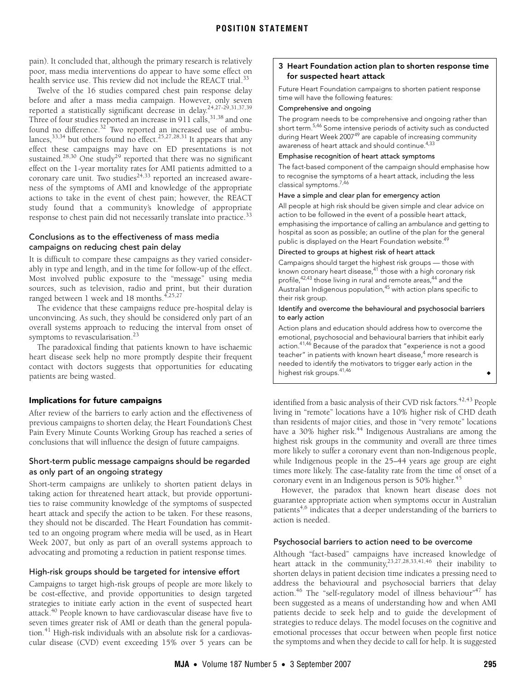## **POSITION STATEMENT**

pain). It concluded that, although the primary research is relatively poor, mass media interventions do appear to have some effect on health service use. This review did not include the REACT trial.<sup>[33](#page-4-28)</sup>

Twelve of the 16 studies compared chest pain response delay before and after a mass media campaign. However, only seven reported a statistically significant decrease in delay.<sup>24[,27](#page-4-29)[-29](#page-4-30),[31,](#page-4-31)[37](#page-4-32),[39](#page-4-27)</sup> Three of four studies reported an increase in 911 calls,<sup>31,[38](#page-4-33)</sup> and one found no difference.<sup>32</sup> Two reported an increased use of ambulances,  $33,34$  $33,34$  but others found no effect.  $25,27,28,31$  $25,27,28,31$  $25,27,28,31$  $25,27,28,31$  It appears that any effect these campaigns may have on ED presentations is not sustained.<sup>28,30</sup> One study<sup>29</sup> reported that there was no significant effect on the 1-year mortality rates for AMI patients admitted to a coronary care unit. Two studies<sup>[24](#page-4-23),33</sup> reported an increased awareness of the symptoms of AMI and knowledge of the appropriate actions to take in the event of chest pain; however, the REACT study found that a community's knowledge of appropriate response to chest pain did not necessarily translate into practice.<sup>[33](#page-4-28)</sup>

## Conclusions as to the effectiveness of mass media campaigns on reducing chest pain delay

It is difficult to compare these campaigns as they varied considerably in type and length, and in the time for follow-up of the effect. Most involved public exposure to the "message" using media sources, such as television, radio and print, but their duration ranged between 1 week and 18 months. $4,25,27$  $4,25,27$  $4,25,27$  $4,25,27$ 

The evidence that these campaigns reduce pre-hospital delay is unconvincing. As such, they should be considered only part of an overall systems approach to reducing the interval from onset of symptoms to revascularisation.<sup>23</sup>

The paradoxical finding that patients known to have ischaemic heart disease seek help no more promptly despite their frequent contact with doctors suggests that opportunities for educating patients are being wasted.

## Implications for future campaigns

After review of the barriers to early action and the effectiveness of previous campaigns to shorten delay, the Heart Foundation's Chest Pain Every Minute Counts Working Group has reached a series of conclusions that will influence the design of future campaigns.

## Short-term public message campaigns should be regarded as only part of an ongoing strategy

Short-term campaigns are unlikely to shorten patient delays in taking action for threatened heart attack, but provide opportunities to raise community knowledge of the symptoms of suspected heart attack and specify the action to be taken. For these reasons, they should not be discarded. The Heart Foundation has committed to an ongoing program where media will be used, as in Heart Week 2007, but only as part of an overall systems approach to advocating and promoting a reduction in patient response times.

## High-risk groups should be targeted for intensive effort

Campaigns to target high-risk groups of people are more likely to be cost-effective, and provide opportunities to design targeted strategies to initiate early action in the event of suspected heart attack.[40](#page-4-40) People known to have cardiovascular disease have five to seven times greater risk of AMI or death than the general population.[41](#page-4-38) High-risk individuals with an absolute risk for a cardiovascular disease (CVD) event exceeding 15% over 5 years can be

#### <span id="page-2-0"></span>3 Heart Foundation action plan to shorten response time for suspected heart attack

Future Heart Foundation campaigns to shorten patient response time will have the following features:

### Comprehensive and ongoing

The program needs to be comprehensive and ongoing rather than short term[.5](#page-4-4),[46](#page-5-1) Some intensive periods of activity such as conducted during Heart Week 2007[49](#page-5-2) are capable of increasing community awareness of heart attack and should continue.[4](#page-4-3)[,33](#page-4-28)

#### Emphasise recognition of heart attack symptoms

The fact-based component of the campaign should emphasise how to recognise the symptoms of a heart attack, including the less classical symptoms.[7,](#page-4-6)[46](#page-5-1)

#### Have a simple and clear plan for emergency action

All people at high risk should be given simple and clear advice on action to be followed in the event of a possible heart attack, emphasising the importance of calling an ambulance and getting to hospital as soon as possible; an outline of the plan for the general public is displayed on the Heart Foundation website.<sup>49</sup>

#### Directed to groups at highest risk of heart attack

Campaigns should target the highest risk groups — those with known coronary heart disease, $^{41}$  those with a high coronary risk profile, $^{42,43}$  $^{42,43}$  $^{42,43}$  those living in rural and remote areas, $^{44}$  and the Australian Indigenous population,[45](#page-5-5) with action plans specific to their risk group.

#### Identify and overcome the behavioural and psychosocial barriers to early action

Action plans and education should address how to overcome the emotional, psychosocial and behavioural barriers that inhibit early action.<sup>[41](#page-4-38),46</sup> Because of the paradox that "experience is not a good teacher" in patients with known heart disease, $\rm ^4$  $\rm ^4$  more research is needed to identify the motivators to trigger early action in the highest risk groups.<sup>[41](#page-4-38),[46](#page-5-1)</sup>

identified from a basic analysis of their CVD risk factors.<sup>[42](#page-4-39),43</sup> People living in "remote" locations have a 10% higher risk of CHD death than residents of major cities, and those in "very remote" locations have a 30% higher risk.<sup>44</sup> Indigenous Australians are among the highest risk groups in the community and overall are three times more likely to suffer a coronary event than non-Indigenous people, while Indigenous people in the 25–44 years age group are eight times more likely. The case-fatality rate from the time of onset of a coronary event in an Indigenous person is 50% higher.<sup>[45](#page-5-5)</sup>

However, the paradox that known heart disease does not guarantee appropriate action when symptoms occur in Australian patients<sup>[4](#page-4-3),6</sup> indicates that a deeper understanding of the barriers to action is needed.

## Psychosocial barriers to action need to be overcome

Although "fact-based" campaigns have increased knowledge of heart attack in the community,  $2^{3,27,28,33,41,46}$  $2^{3,27,28,33,41,46}$  $2^{3,27,28,33,41,46}$  $2^{3,27,28,33,41,46}$  $2^{3,27,28,33,41,46}$  $2^{3,27,28,33,41,46}$  $2^{3,27,28,33,41,46}$  their inability to shorten delays in patient decision time indicates a pressing need to address the behavioural and psychosocial barriers that delay action.<sup>46</sup> The "self-regulatory model of illness behaviour"<sup>47</sup> has been suggested as a means of understanding how and when AMI patients decide to seek help and to guide the development of strategies to reduce delays. The model focuses on the cognitive and emotional processes that occur between when people first notice the symptoms and when they decide to call for help. It is suggested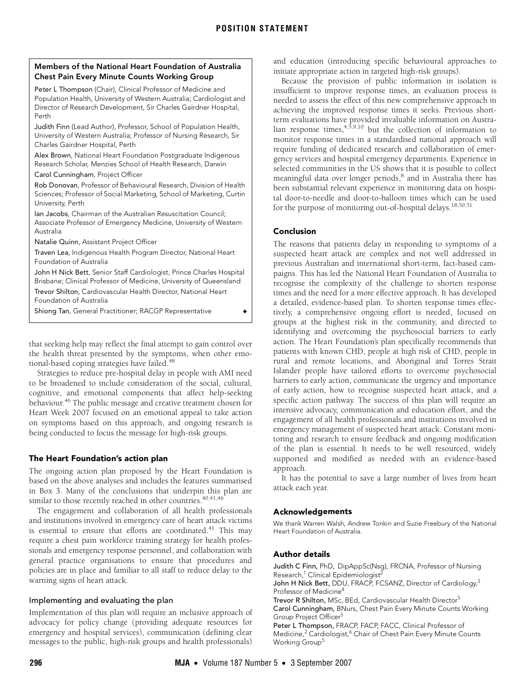## Members of the National Heart Foundation of Australia Chest Pain Every Minute Counts Working Group

Peter L Thompson (Chair), Clinical Professor of Medicine and Population Health, University of Western Australia; Cardiologist and Director of Research Development, Sir Charles Gairdner Hospital, Perth

Judith Finn (Lead Author), Professor, School of Population Health, University of Western Australia; Professor of Nursing Research, Sir Charles Gairdner Hospital, Perth

Alex Brown, National Heart Foundation Postgraduate Indigenous Research Scholar, Menzies School of Health Research, Darwin Carol Cunningham, Project Officer

Rob Donovan, Professor of Behavioural Research, Division of Health Sciences; Professor of Social Marketing, School of Marketing, Curtin University, Perth

Ian Jacobs, Chairman of the Australian Resuscitation Council; Associate Professor of Emergency Medicine, University of Western Australia

Natalie Quinn, Assistant Project Officer

Traven Lea, Indigenous Health Program Director, National Heart Foundation of Australia

John H Nick Bett, Senior Staff Cardiologist, Prince Charles Hospital Brisbane; Clinical Professor of Medicine, University of Queensland Trevor Shilton, Cardiovascular Health Director, National Heart Foundation of Australia

Shiong Tan, General Practitioner; RACGP Representative ◆

that seeking help may reflect the final attempt to gain control over the health threat presented by the symptoms, when other emo-tional-based coping strategies have failed.<sup>[48](#page-5-7)</sup>

Strategies to reduce pre-hospital delay in people with AMI need to be broadened to include consideration of the social, cultural, cognitive, and emotional components that affect help-seeking behaviour.[46](#page-5-1) The public message and creative treatment chosen for Heart Week 2007 focused on an emotional appeal to take action on symptoms based on this approach, and ongoing research is being conducted to focus the message for high-risk groups.

# The Heart Foundation's action plan

The ongoing action plan proposed by the Heart Foundation is based on the above analyses and includes the features summarised in [Box 3](#page-2-0). Many of the conclusions that underpin this plan are similar to those recently reached in other countries.<sup>[40](#page-4-40)[,41](#page-4-38),[46](#page-5-1)</sup>

The engagement and collaboration of all health professionals and institutions involved in emergency care of heart attack victims is essential to ensure that efforts are coordinated.<sup>41</sup> This may require a chest pain workforce training strategy for health professionals and emergency response personnel, and collaboration with general practice organisations to ensure that procedures and policies are in place and familiar to all staff to reduce delay to the warning signs of heart attack.

## Implementing and evaluating the plan

Implementation of this plan will require an inclusive approach of advocacy for policy change (providing adequate resources for emergency and hospital services), communication (defining clear messages to the public, high-risk groups and health professionals)

and education (introducing specific behavioural approaches to initiate appropriate action in targeted high-risk groups).

Because the provision of public information in isolation is insufficient to improve response times, an evaluation process is needed to assess the effect of this new comprehensive approach in achieving the improved response times it seeks. Previous shortterm evaluations have provided invaluable information on Australian response times,  $4,5,9,10$  $4,5,9,10$  $4,5,9,10$  $4,5,9,10$  $4,5,9,10$  $4,5,9,10$  but the collection of information to monitor response times in a standardised national approach will require funding of dedicated research and collaboration of emergency services and hospital emergency departments. Experience in selected communities in the US shows that it is possible to collect meaningful data over longer periods,<sup>[8](#page-4-7)</sup> and in Australia there has been substantial relevant experience in monitoring data on hospital door-to-needle and door-to-balloon times which can be used for the purpose of monitoring out-of-hospital delays.[18](#page-4-17)[,50](#page-5-8)[,51](#page-5-0)

# Conclusion

The reasons that patients delay in responding to symptoms of a suspected heart attack are complex and not well addressed in previous Australian and international short-term, fact-based campaigns. This has led the National Heart Foundation of Australia to recognise the complexity of the challenge to shorten response times and the need for a more effective approach. It has developed a detailed, evidence-based plan. To shorten response times effectively, a comprehensive ongoing effort is needed, focused on groups at the highest risk in the community, and directed to identifying and overcoming the psychosocial barriers to early action. The Heart Foundation's plan specifically recommends that patients with known CHD, people at high risk of CHD, people in rural and remote locations, and Aboriginal and Torres Strait Islander people have tailored efforts to overcome psychosocial barriers to early action, communicate the urgency and importance of early action, how to recognise suspected heart attack, and a specific action pathway. The success of this plan will require an intensive advocacy, communication and education effort, and the engagement of all health professionals and institutions involved in emergency management of suspected heart attack. Constant monitoring and research to ensure feedback and ongoing modification of the plan is essential. It needs to be well resourced, widely supported and modified as needed with an evidence-based approach.

It has the potential to save a large number of lives from heart attack each year.

## Acknowledgements

We thank Warren Walsh, Andrew Tonkin and Suzie Freebury of the National Heart Foundation of Australia.

# Author details

Judith C Finn, PhD, DipAppSc(Nsg), FRCNA, Professor of Nursing Research,<sup>1</sup> Clinical Epidemiologist<sup>2</sup> John H Nick Bett, DDU, FRACP, FCSANZ, Director of Cardiology,<sup>3</sup> Professor of Medicine<sup>4</sup> Trevor R Shilton, MSc, BEd, Cardiovascular Health Director<sup>5</sup> Carol Cunningham, BNurs, Chest Pain Every Minute Counts Working Group Project Officer<sup>5</sup> Peter L Thompson, FRACP, FACP, FACC, Clinical Professor of Medicine,<sup>2</sup> Cardiologist,<sup>[6](#page-4-5)</sup> Chair of Chest Pain Every Minute Counts Working Group<sup>[5](#page-4-4)</sup>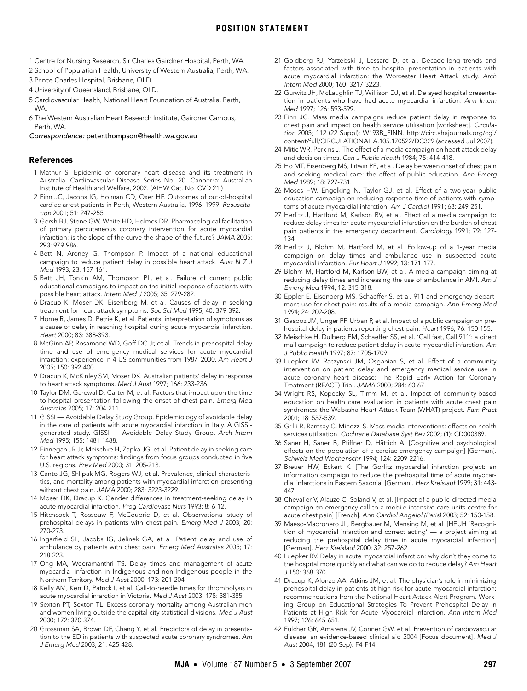# **POSITION STATEMENT**

- 1 Centre for Nursing Research, Sir Charles Gairdner Hospital, Perth, WA.
- 2 School of Population Health, University of Western Australia, Perth, WA.
- 3 Prince Charles Hospital, Brisbane, QLD.
- 4 University of Queensland, Brisbane, QLD.
- 5 Cardiovascular Health, National Heart Foundation of Australia, Perth, WA.
- 6 The Western Australian Heart Research Institute, Gairdner Campus, Perth, WA.

#### Correspondence: peter.thompson@health.wa.gov.au

#### References

- <span id="page-4-0"></span>1 Mathur S. Epidemic of coronary heart disease and its treatment in Australia. Cardiovascular Disease Series No. 20. Canberra: Australian Institute of Health and Welfare, 2002. (AIHW Cat. No. CVD 21.)
- <span id="page-4-1"></span>2 Finn JC, Jacobs IG, Holman CD, Oxer HF. Outcomes of out-of-hospital cardiac arrest patients in Perth, Western Australia, 1996–1999. Resuscitation 2001; 51: 247-255.
- <span id="page-4-2"></span>3 Gersh BJ, Stone GW, White HD, Holmes DR. Pharmacological facilitation of primary percutaneous coronary intervention for acute myocardial infarction: is the slope of the curve the shape of the future? JAMA 2005; 293: 979-986.
- <span id="page-4-3"></span>4 Bett N, Aroney G, Thompson P. Impact of a national educational campaign to reduce patient delay in possible heart attack. Aust N Z J Med 1993; 23: 157-161.
- <span id="page-4-4"></span>5 Bett JH, Tonkin AM, Thompson PL, et al. Failure of current public educational campaigns to impact on the initial response of patients with possible heart attack. Intern Med J 2005; 35: 279-282.
- <span id="page-4-5"></span>6 Dracup K, Moser DK, Eisenberg M, et al. Causes of delay in seeking treatment for heart attack symptoms. Soc Sci Med 1995; 40: 379-392.
- <span id="page-4-6"></span>7 Horne R, James D, Petrie K, et al. Patients' interpretation of symptoms as a cause of delay in reaching hospital during acute myocardial infarction. Heart 2000; 83: 388-393.
- <span id="page-4-7"></span>8 McGinn AP, Rosamond WD, Goff DC Jr, et al. Trends in prehospital delay time and use of emergency medical services for acute myocardial infarction: experience in 4 US communities from 1987–2000. Am Heart J 2005; 150: 392-400.
- <span id="page-4-8"></span>9 Dracup K, McKinley SM, Moser DK. Australian patients' delay in response to heart attack symptoms. Med J Aust 1997; 166: 233-236.
- <span id="page-4-9"></span>10 Taylor DM, Garewal D, Carter M, et al. Factors that impact upon the time to hospital presentation following the onset of chest pain. Emerg Med Australas 2005; 17: 204-211.
- <span id="page-4-10"></span>11 GISSI — Avoidable Delay Study Group. Epidemiology of avoidable delay in the care of patients with acute myocardial infarction in Italy. A GISSIgenerated study. GISSI — Avoidable Delay Study Group. Arch Intern Med 1995; 155: 1481-1488.
- <span id="page-4-11"></span>12 Finnegan JR Jr, Meischke H, Zapka JG, et al. Patient delay in seeking care for heart attack symptoms: findings from focus groups conducted in five U.S. regions. Prev Med 2000; 31: 205-213.
- <span id="page-4-12"></span>13 Canto JG, Shlipak MG, Rogers WJ, et al. Prevalence, clinical characteristics, and mortality among patients with myocardial infarction presenting without chest pain. JAMA 2000; 283: 3223-3229.
- <span id="page-4-13"></span>14 Moser DK, Dracup K. Gender differences in treatment-seeking delay in acute myocardial infarction. Prog Cardiovasc Nurs 1993; 8: 6-12.
- <span id="page-4-14"></span>15 Hitchcock T, Rossouw F, McCoubrie D, et al. Observational study of prehospital delays in patients with chest pain. Emerg Med J 2003; 20: 270-273.
- <span id="page-4-15"></span>16 Ingarfield SL, Jacobs IG, Jelinek GA, et al. Patient delay and use of ambulance by patients with chest pain. Emerg Med Australas 2005; 17: 218-223.
- <span id="page-4-16"></span>17 Ong MA, Weeramanthri TS. Delay times and management of acute myocardial infarction in Indigenous and non-Indigenous people in the Northern Territory. Med J Aust 2000; 173: 201-204.
- <span id="page-4-17"></span>18 Kelly AM, Kerr D, Patrick I, et al. Call-to-needle times for thrombolysis in acute myocardial infarction in Victoria. Med J Aust 2003; 178: 381-385.
- <span id="page-4-18"></span>19 Sexton PT, Sexton TL. Excess coronary mortality among Australian men and women living outside the capital city statistical divisions. Med J Aust 2000; 172: 370-374.
- <span id="page-4-19"></span>20 Grossman SA, Brown DF, Chang Y, et al. Predictors of delay in presentation to the ED in patients with suspected acute coronary syndromes. Am J Emerg Med 2003; 21: 425-428.
- <span id="page-4-20"></span>21 Goldberg RJ, Yarzebski J, Lessard D, et al. Decade-long trends and factors associated with time to hospital presentation in patients with acute myocardial infarction: the Worcester Heart Attack study. Arch Intern Med 2000; 160: 3217-3223.
- <span id="page-4-21"></span>22 Gurwitz JH, McLaughlin TJ, Willison DJ, et al. Delayed hospital presentation in patients who have had acute myocardial infarction. Ann Intern Med 1997; 126: 593-599.
- <span id="page-4-22"></span>23 Finn JC. Mass media campaigns reduce patient delay in response to chest pain and impact on health service utilisation [worksheet]. Circulation 2005; 112 (22 Suppl): W193B\_FINN. http://circ.ahajournals.org/cgi/ content/full/CIRCULATIONAHA.105.170522/DC329 (accessed Jul 2007).
- <span id="page-4-23"></span>24 Mitic WR, Perkins J. The effect of a media campaign on heart attack delay and decision times. Can J Public Health 1984; 75: 414-418.
- <span id="page-4-35"></span>25 Ho MT, Eisenberg MS, Litwin PE, et al. Delay between onset of chest pain and seeking medical care: the effect of public education. Ann Emerg Med 1989; 18: 727-731.
- 26 Moses HW, Engelking N, Taylor GJ, et al. Effect of a two-year public education campaign on reducing response time of patients with symptoms of acute myocardial infarction. Am J Cardiol 1991; 68: 249-251.
- <span id="page-4-29"></span>27 Herlitz J, Hartford M, Karlson BV, et al. Effect of a media campaign to reduce delay times for acute myocardial infarction on the burden of chest pain patients in the emergency department. Cardiology 1991; 79: 127- 134.
- <span id="page-4-36"></span>28 Herlitz J, Blohm M, Hartford M, et al. Follow-up of a 1-year media campaign on delay times and ambulance use in suspected acute myocardial infarction. Eur Heart J 1992; 13: 171-177.
- <span id="page-4-30"></span>29 Blohm M, Hartford M, Karlson BW, et al. A media campaign aiming at reducing delay times and increasing the use of ambulance in AMI. Am J Emerg Med 1994; 12: 315-318.
- <span id="page-4-37"></span>30 Eppler E, Eisenberg MS, Schaeffer S, et al. 911 and emergency department use for chest pain: results of a media campaign. Ann Emerg Med 1994; 24: 202-208.
- <span id="page-4-31"></span>31 Gaspoz JM, Unger PF, Urban P, et al. Impact of a public campaign on prehospital delay in patients reporting chest pain. Heart 1996; 76: 150-155.
- <span id="page-4-34"></span>32 Meischke H, Dulberg EM, Schaeffer SS, et al. 'Call fast, Call 911': a direct mail campaign to reduce patient delay in acute myocardial infarction. Am J Public Health 1997; 87: 1705-1709.
- <span id="page-4-28"></span>33 Luepker RV, Raczynski JM, Osganian S, et al. Effect of a community intervention on patient delay and emergency medical service use in acute coronary heart disease: The Rapid Early Action for Coronary Treatment (REACT) Trial. JAMA 2000; 284: 60-67.
- <span id="page-4-24"></span>34 Wright RS, Kopecky SL, Timm M, et al. Impact of community-based education on health care evaluation in patients with acute chest pain syndromes: the Wabasha Heart Attack Team (WHAT) project. Fam Pract 2001; 18: 537-539.
- <span id="page-4-25"></span>35 Grilli R, Ramsay C, Minozzi S. Mass media interventions: effects on health services utilisation. Cochrane Database Syst Rev 2002; (1): CD000389.
- <span id="page-4-26"></span>36 Saner H, Saner B, Pfiffner D, Hättich A. [Cognitive and psychological effects on the population of a cardiac emergency campaign] [German]. Schweiz Med Wochenschr 1994; 124: 2209-2216.
- <span id="page-4-32"></span>37 Breuer HW, Eckert K. [The Gorlitz myocardial infarction project: an information campaign to reduce the prehospital time of acute myocardial infarctions in Eastern Saxonia] [German]. Herz Kreislauf 1999; 31: 443- 447.
- <span id="page-4-33"></span>38 Chevalier V, Alauze C, Soland V, et al. [Impact of a public-directed media campaign on emergency call to a mobile intensive care units centre for acute chest pain] [French]. Ann Cardiol Angeiol (Paris) 2003; 52: 150-158.
- <span id="page-4-27"></span>39 Maeso-Madronero JL, Bergbauer M, Mensing M, et al. [HEUH 'Recognition of myocardial infarction and correct acting' — a project aiming at reducing the prehospital delay time in acute myocardial infarction] [German]. Herz Kreislauf 2000; 32: 257-262.
- <span id="page-4-40"></span>40 Luepker RV. Delay in acute myocardial infarction: why don't they come to the hospital more quickly and what can we do to reduce delay? Am Heart J 150: 368-370.
- <span id="page-4-38"></span>41 Dracup K, Alonzo AA, Atkins JM, et al. The physician's role in minimizing prehospital delay in patients at high risk for acute myocardial infarction: recommendations from the National Heart Attack Alert Program. Working Group on Educational Strategies To Prevent Prehospital Delay in Patients at High Risk for Acute Myocardial Infarction. Ann Intern Med 1997; 126: 645-651.
- <span id="page-4-39"></span>42 Fulcher GR, Amarena JV, Conner GW, et al. Prevention of cardiovascular disease: an evidence-based clinical aid 2004 [Focus document]. Med J Aust 2004; 181 (20 Sep): F4-F14.